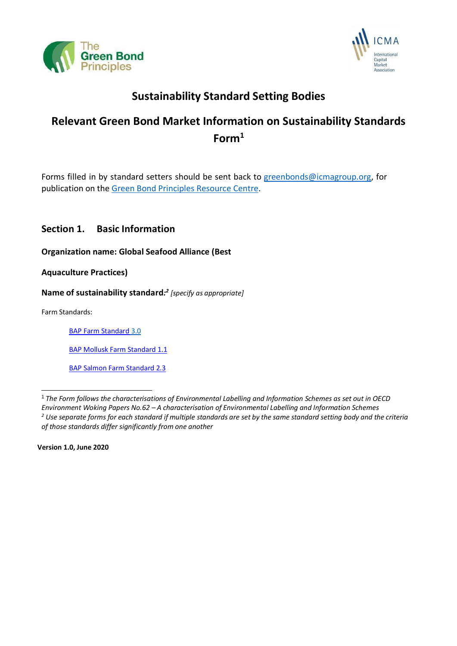



# **Sustainability Standard Setting Bodies**

# **Relevant Green Bond Market Information on Sustainability Standards Form<sup>1</sup>**

Forms filled in by standard setters should be sent back to [greenbonds@icmagroup.org,](mailto:greenbonds@icmagroup.org) for publication on the Green Bond [Principles](https://www.icmagroup.org/green-social-and-sustainability-bonds/resource-centre/) Resource Centre.

# **Section 1. Basic Information**

**Organization name: Global Seafood Alliance (Best** 

**Aquaculture Practices)**

**Name of sustainability standard***: 2 [specify as appropriate]*

Farm Standards:

[BAP Farm Standard](https://www.bapcertification.org/Downloadables/pdf/PI%20-%20Standard%20-%20Farm%20Standard%20-%20Issue%203.0%20-%2001-March-2021-GSA.pdf) 3.0

[BAP Mollusk Farm Standard 1.1](https://www.bapcertification.org/Downloadables/pdf/PI%20-%20Standard%20-%20Mollusk%20Farms%20-%20Issue%201.1%20-%2015-March-2021-GSA.pdf)

[BAP Salmon Farm Standard 2.3](https://www.bapcertification.org/Downloadables/pdf/PI%20-%20Standard%20-%20Salmon%20Farm%20-%20Issue%202.3%20-%2013-October-2016-GSA.pdf)

**Version 1.0, June 2020**

<sup>1</sup>*The Form follows the characterisations of Environmental Labelling and Information Schemes as set out in OECD Environment Woking Papers No.62 – A characterisation of Environmental Labelling and Information Schemes*  $2$  Use separate forms for each standard if multiple standards are set by the same standard setting body and the criteria *of those standards differ significantly from one another*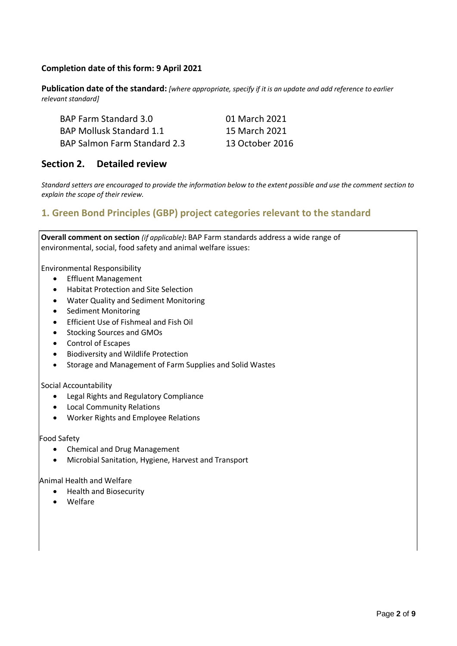## **Completion date of this form: 9 April 2021**

Publication date of the standard: [where appropriate, specify if it is an update and add reference to earlier *relevant standard]*

| <b>BAP Farm Standard 3.0</b>        | 01 March 2021   |
|-------------------------------------|-----------------|
| <b>BAP Mollusk Standard 1.1</b>     | 15 March 2021   |
| <b>BAP Salmon Farm Standard 2.3</b> | 13 October 2016 |

## **Section 2. Detailed review**

Standard setters are encouraged to provide the information below to the extent possible and use the comment section to *explain the scope of their review.*

## **1. Green Bond Principles (GBP) project categories relevant to the standard**

**Overall comment on section** *(if applicable)***:** BAP Farm standards address a wide range of environmental, social, food safety and animal welfare issues:

Environmental Responsibility

- Effluent Management
- Habitat Protection and Site Selection
- Water Quality and Sediment Monitoring
- Sediment Monitoring
- Efficient Use of Fishmeal and Fish Oil
- Stocking Sources and GMOs
- Control of Escapes
- Biodiversity and Wildlife Protection
- Storage and Management of Farm Supplies and Solid Wastes

#### Social Accountability

- Legal Rights and Regulatory Compliance
- Local Community Relations
- Worker Rights and Employee Relations

#### Food Safety

- Chemical and Drug Management
- Microbial Sanitation, Hygiene, Harvest and Transport

Animal Health and Welfare

- Health and Biosecurity
- Welfare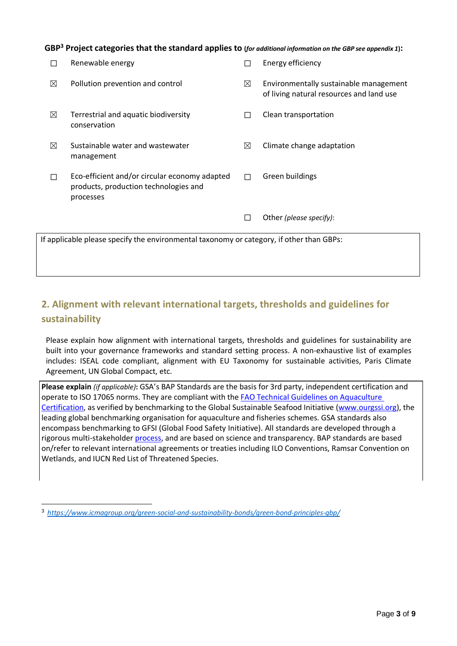GBP<sup>3</sup> Project categories that the standard applies to (for additional information on the GBP see appendix 1):

| П                                                                                        | Renewable energy                                                                                    | П | Energy efficiency                                                                  |
|------------------------------------------------------------------------------------------|-----------------------------------------------------------------------------------------------------|---|------------------------------------------------------------------------------------|
| ⊠                                                                                        | Pollution prevention and control                                                                    | ⊠ | Environmentally sustainable management<br>of living natural resources and land use |
| ⊠                                                                                        | Terrestrial and aquatic biodiversity<br>conservation                                                | П | Clean transportation                                                               |
| ⊠                                                                                        | Sustainable water and wastewater<br>management                                                      | ⊠ | Climate change adaptation                                                          |
| П                                                                                        | Eco-efficient and/or circular economy adapted<br>products, production technologies and<br>processes | П | Green buildings                                                                    |
|                                                                                          |                                                                                                     |   | Other (please specify):                                                            |
| If applicable please specify the environmental taxonomy or category, if other than GBPs: |                                                                                                     |   |                                                                                    |

# **2. Alignment with relevant international targets, thresholds and guidelines for sustainability**

Please explain how alignment with international targets, thresholds and guidelines for sustainability are built into your governance frameworks and standard setting process. A non-exhaustive list of examples includes: ISEAL code compliant, alignment with EU Taxonomy for sustainable activities, Paris Climate Agreement, UN Global Compact, etc.

**Please explain** *(if applicable)***:** GSA's BAP Standards are the basis for 3rd party, independent certification and operate to ISO 17065 norms. They are compliant with th[e FAO Technical Guidelines](https://www.fao.org/apfic/publications/detail/en/c/419735/) on Aquaculture [Certification,](https://www.fao.org/apfic/publications/detail/en/c/419735/) as verified by benchmarking to the Global Sustainable Seafood Initiative [\(www.ourgssi.org\)](http://www.ourgssi.org/), the leading global benchmarking organisation for aquaculture and fisheries schemes. GSA standards also encompass benchmarking to GFSI (Global Food Safety Initiative). All standards are developed through a rigorous multi-stakeholde[r process,](https://www.bapcertification.org/Downloadables/pdf/GSA%20-%20Standards%20Process%20Document%20-%20Issue%203.0%20-%2025-February-2022.pdf) and are based on science and transparency. BAP standards are based on/refer to relevant international agreements or treaties including ILO Conventions, Ramsar Convention on Wetlands, and IUCN Red List of Threatened Species.

<sup>3</sup> *<https://www.icmagroup.org/green-social-and-sustainability-bonds/green-bond-principles-gbp/>*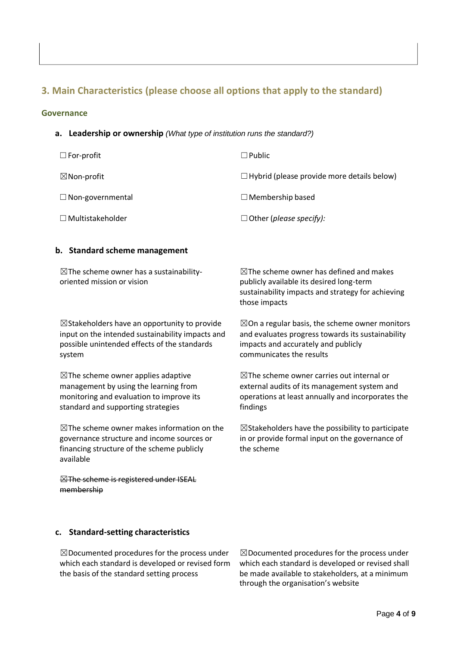# **3. Main Characteristics (please choose all options that apply to the standard)**

#### **Governance**

**a. Leadership or ownership** *(What type of institution runs the standard?)*

| $\Box$ For-profit       | $\Box$ Public                                     |
|-------------------------|---------------------------------------------------|
| $\boxtimes$ Non-profit  | $\Box$ Hybrid (please provide more details below) |
| $\Box$ Non-governmental | $\Box$ Membership based                           |
| $\Box$ Multistakeholder | $\Box$ Other (please specify):                    |

#### **b. Standard scheme management**

 $\boxtimes$ The scheme owner has a sustainabilityoriented mission or vision

 $\boxtimes$ Stakeholders have an opportunity to provide input on the intended sustainability impacts and possible unintended effects of the standards system

 $\boxtimes$ The scheme owner applies adaptive management by using the learning from monitoring and evaluation to improve its standard and supporting strategies

 $\boxtimes$ The scheme owner makes information on the governance structure and income sources or financing structure of the scheme publicly available

**EXThe scheme is registered under ISEAL** membership

#### **c. Standard-setting characteristics**

☒Documented procedures for the process under which each standard is developed or revised form the basis of the standard setting process

☒Documented procedures for the process under which each standard is developed or revised shall be made available to stakeholders, at a minimum through the organisation's website

 $\boxtimes$ The scheme owner has defined and makes publicly available its desired long-term sustainability impacts and strategy for achieving those impacts

 $\boxtimes$ On a regular basis, the scheme owner monitors and evaluates progress towards its sustainability impacts and accurately and publicly communicates the results

 $\boxtimes$ The scheme owner carries out internal or external audits of its management system and operations at least annually and incorporates the findings

 $\boxtimes$ Stakeholders have the possibility to participate in or provide formal input on the governance of the scheme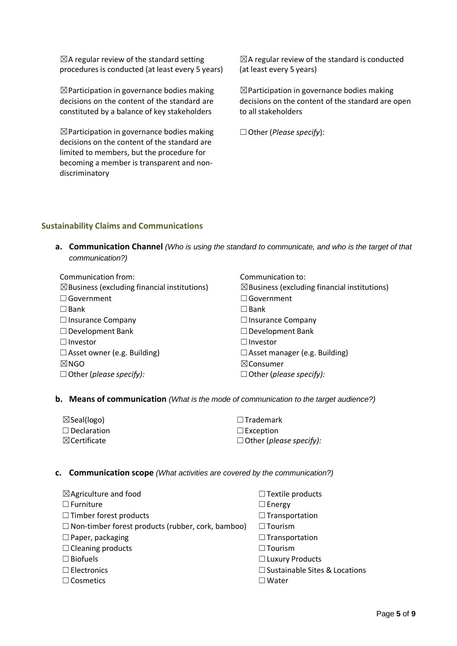$\boxtimes$ A regular review of the standard setting procedures is conducted (at least every 5 years)

☒Participation in governance bodies making decisions on the content of the standard are constituted by a balance of key stakeholders

 $\boxtimes$  Participation in governance bodies making decisions on the content of the standard are limited to members, but the procedure for becoming a member is transparent and nondiscriminatory

 $\boxtimes$ A regular review of the standard is conducted (at least every 5 years)

☒Participation in governance bodies making decisions on the content of the standard are open to all stakeholders

☐Other (*Please specify*):

## **Sustainability Claims and Communications**

**a. Communication Channel** *(Who is using the standard to communicate, and who is the target of that communication?)*

| Communication from:                                     | Communication to:                                       |
|---------------------------------------------------------|---------------------------------------------------------|
| $\boxtimes$ Business (excluding financial institutions) | $\boxtimes$ Business (excluding financial institutions) |
| $\Box$ Government                                       | $\Box$ Government                                       |
| $\square$ Bank                                          | $\square$ Bank                                          |
| $\Box$ Insurance Company                                | $\Box$ Insurance Company                                |
| $\Box$ Development Bank                                 | $\Box$ Development Bank                                 |
| $\Box$ Investor                                         | $\Box$ Investor                                         |
| $\Box$ Asset owner (e.g. Building)                      | $\Box$ Asset manager (e.g. Building)                    |
| $\boxtimes$ NGO                                         | $\boxtimes$ Consumer                                    |
| $\Box$ Other (please specify):                          | $\Box$ Other (please specify):                          |

#### **b. Means of communication** *(What is the mode of communication to the target audience?)*

| $\boxtimes$ Seal(logo)  | $\Box$ Trademark               |
|-------------------------|--------------------------------|
| $\Box$ Declaration      | $\Box$ Exception               |
| $\boxtimes$ Certificate | $\Box$ Other (please specify): |

#### **c. Communication scope** *(What activities are covered by the communication?)*

| $\boxtimes$ Agriculture and food                         | □ Textile products                   |
|----------------------------------------------------------|--------------------------------------|
| $\Box$ Furniture                                         | $\Box$ Energy                        |
| $\Box$ Timber forest products                            | $\Box$ Transportation                |
| $\Box$ Non-timber forest products (rubber, cork, bamboo) | $\Box$ Tourism                       |
| $\Box$ Paper, packaging                                  | $\Box$ Transportation                |
| $\Box$ Cleaning products                                 | $\Box$ Tourism                       |
| $\Box$ Biofuels                                          | $\Box$ Luxury Products               |
| $\Box$ Electronics                                       | $\Box$ Sustainable Sites & Locations |
| $\Box$ Cosmetics                                         | $\Box$ Water                         |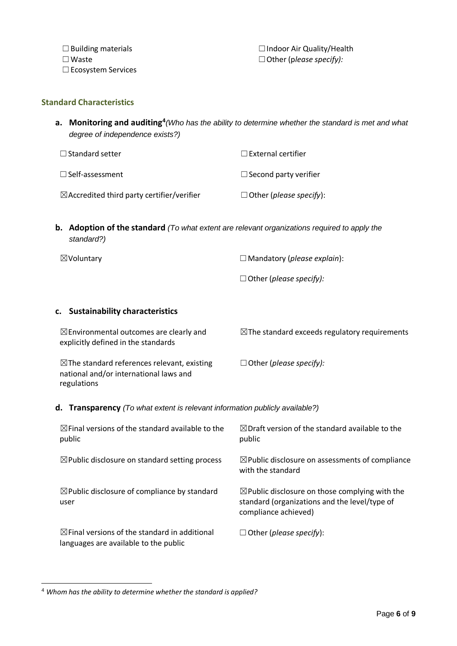☐Building materials ☐Indoor Air Quality/Health ☐Waste ☐Other (p*lease specify):*

## **Standard Characteristics**

**a. Monitoring and auditing<sup>4</sup>** *(Who has the ability to determine whether the standard is met and what degree of independence exists?)*

| $\Box$ Standard setter                                | $\Box$ External certifier      |
|-------------------------------------------------------|--------------------------------|
| $\Box$ Self-assessment                                | $\Box$ Second party verifier   |
| $\boxtimes$ Accredited third party certifier/verifier | $\Box$ Other (please specify): |

**b. Adoption of the standard** *(To what extent are relevant organizations required to apply the standard?)*

☒Voluntary ☐Mandatory (*please explain*): ☐Other (*please specify):*

#### **c. Sustainability characteristics**

| $\boxtimes$ Environmental outcomes are clearly and<br>explicitly defined in the standards                       | $\boxtimes$ The standard exceeds regulatory requirements |
|-----------------------------------------------------------------------------------------------------------------|----------------------------------------------------------|
| $\boxtimes$ The standard references relevant, existing<br>national and/or international laws and<br>regulations | $\Box$ Other (please specify):                           |

**d. Transparency** *(To what extent is relevant information publicly available?)*

| $\boxtimes$ Final versions of the standard available to the<br>public                             | $\boxtimes$ Draft version of the standard available to the<br>public                                                               |
|---------------------------------------------------------------------------------------------------|------------------------------------------------------------------------------------------------------------------------------------|
| $\boxtimes$ Public disclosure on standard setting process                                         | $\boxtimes$ Public disclosure on assessments of compliance<br>with the standard                                                    |
| $\boxtimes$ Public disclosure of compliance by standard<br>user                                   | $\boxtimes$ Public disclosure on those complying with the<br>standard (organizations and the level/type of<br>compliance achieved) |
| $\boxtimes$ Final versions of the standard in additional<br>languages are available to the public | $\Box$ Other ( <i>please specify</i> ):                                                                                            |

<sup>4</sup> *Whom has the ability to determine whether the standard is applied?*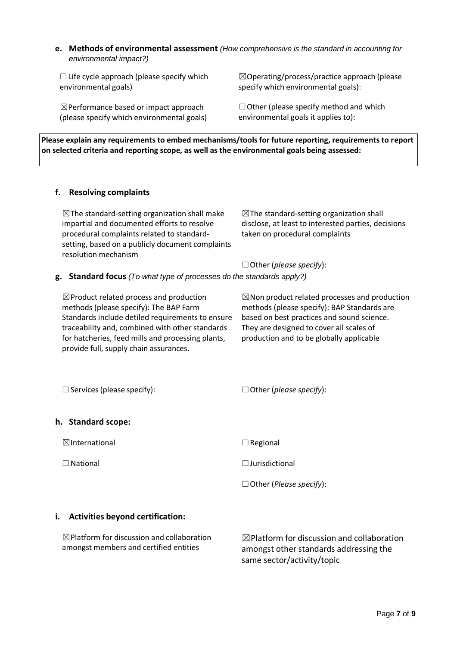**e. Methods of environmental assessment** *(How comprehensive is the standard in accounting for environmental impact?)*

 $\Box$  Life cycle approach (please specify which environmental goals)

☒Performance based or impact approach (please specify which environmental goals)

☒Operating/process/practice approach (please specify which environmental goals):

 $\Box$  Other (please specify method and which environmental goals it applies to):

**Please explain any requirements to embed mechanisms/tools for future reporting, requirements to report on selected criteria and reporting scope, as well as the environmental goals being assessed:**

## **f. Resolving complaints**

 $\boxtimes$ The standard-setting organization shall make impartial and documented efforts to resolve procedural complaints related to standardsetting, based on a publicly document complaints resolution mechanism  $\boxtimes$ The standard-setting organization shall disclose, at least to interested parties, decisions taken on procedural complaints ☐Other (*please specify*):

#### **g. Standard focus** *(To what type of processes do the standards apply?)*

☒Product related process and production methods (please specify): The BAP Farm Standards include detiled requirements to ensure traceability and, combined with other standards for hatcheries, feed mills and processing plants, provide full, supply chain assurances.

 $\boxtimes$ Non product related processes and production methods (please specify): BAP Standards are based on best practices and sound science. They are designed to cover all scales of production and to be globally applicable

☐Services (please specify): ☐Other (*please specify*):

#### **h. Standard scope:**

 $\boxtimes$ International  $\Box$ Regional

☐National ☐Jurisdictional

☐Other (*Please specify*):

#### **i. Activities beyond certification:**

 $\boxtimes$ Platform for discussion and collaboration amongst members and certified entities

 $\boxtimes$ Platform for discussion and collaboration amongst other standards addressing the same sector/activity/topic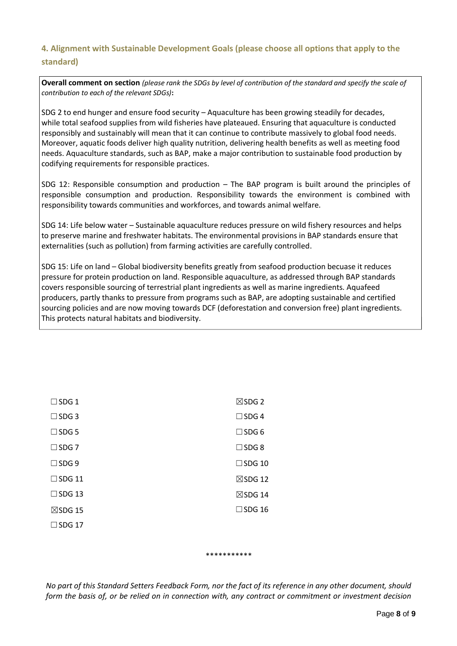# **4. Alignment with Sustainable Development Goals (please choose all options that apply to the standard)**

**Overall comment on section** *(please rank the SDGs by level of contribution of the standard and specify the scale of contribution to each of the relevant SDGs)***:**

SDG 2 to end hunger and ensure food security – Aquaculture has been growing steadily for decades, while total seafood supplies from wild fisheries have plateaued. Ensuring that aquaculture is conducted responsibly and sustainably will mean that it can continue to contribute massively to global food needs. Moreover, aquatic foods deliver high quality nutrition, delivering health benefits as well as meeting food needs. Aquaculture standards, such as BAP, make a major contribution to sustainable food production by codifying requirements for responsible practices.

SDG 12: Responsible consumption and production – The BAP program is built around the principles of responsible consumption and production. Responsibility towards the environment is combined with responsibility towards communities and workforces, and towards animal welfare.

SDG 14: Life below water – Sustainable aquaculture reduces pressure on wild fishery resources and helps to preserve marine and freshwater habitats. The environmental provisions in BAP standards ensure that externalities (such as pollution) from farming activities are carefully controlled.

SDG 15: Life on land – Global biodiversity benefits greatly from seafood production becuase it reduces pressure for protein production on land. Responsible aquaculture, as addressed through BAP standards covers responsible sourcing of terrestrial plant ingredients as well as marine ingredients. Aquafeed producers, partly thanks to pressure from programs such as BAP, are adopting sustainable and certified sourcing policies and are now moving towards DCF (deforestation and conversion free) plant ingredients. This protects natural habitats and biodiversity.

| $\Box$ SDG 1       | $\boxtimes$ SDG 2  |
|--------------------|--------------------|
| $\square$ SDG 3    | $\square$ SDG 4    |
| $\square$ SDG 5    | $\square$ SDG 6    |
| $\square$ SDG 7    | $\square$ SDG 8    |
| $\square$ SDG 9    | $\Box$ SDG 10      |
| $\square$ SDG 11   | $\boxtimes$ SDG 12 |
| $\square$ SDG 13   | $\boxtimes$ SDG 14 |
| $\boxtimes$ SDG 15 | $\square$ SDG 16   |
| $\Box$ SDG 17      |                    |
|                    |                    |

\*\*\*\*\*\*\*\*\*\*\*

*No part of this Standard Setters Feedback Form, nor the fact of its reference in any other document, should form the basis of, or be relied on in connection with, any contract or commitment or investment decision*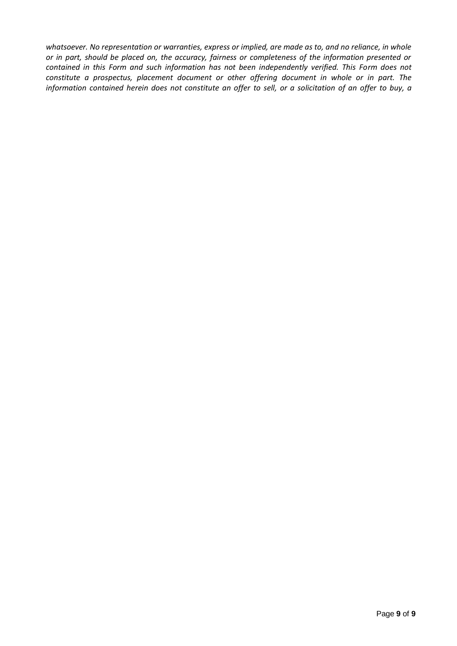*whatsoever. No representation or warranties, express or implied, are made as to, and no reliance, in whole or in part, should be placed on, the accuracy, fairness or completeness of the information presented or contained in this Form and such information has not been independently verified. This Form does not constitute a prospectus, placement document or other offering document in whole or in part. The* information contained herein does not constitute an offer to sell, or a solicitation of an offer to buy, a